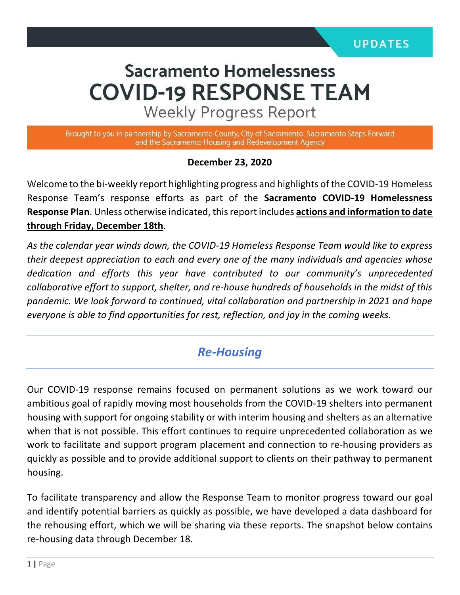# **Sacramento Homelessness COVID-19 RESPONSE TEAM**

**Weekly Progress Report** 

Brought to you in partnership by Sacramento County, City of Sacramento, Sacramento Steps Forward and the Sacramento Housing and Redevelopment Agency

#### **December 23, 2020**

Welcome to the bi-weekly report highlighting progress and highlights of the COVID-19 Homeless Response Team's response efforts as part of the **Sacramento COVID-19 Homelessness Response Plan**. Unless otherwise indicated, this report includes **actions and information to date through Friday, December 18th**.

*As the calendar year winds down, the COVID-19 Homeless Response Team would like to express their deepest appreciation to each and every one of the many individuals and agencies whose dedication and efforts this year have contributed to our community's unprecedented collaborative effort to support, shelter, and re-house hundreds of households in the midst of this pandemic. We look forward to continued, vital collaboration and partnership in 2021 and hope everyone is able to find opportunities for rest, reflection, and joy in the coming weeks.* 

## *Re-Housing*

Our COVID-19 response remains focused on permanent solutions as we work toward our ambitious goal of rapidly moving most households from the COVID-19 shelters into permanent housing with support for ongoing stability or with interim housing and shelters as an alternative when that is not possible. This effort continues to require unprecedented collaboration as we work to facilitate and support program placement and connection to re-housing providers as quickly as possible and to provide additional support to clients on their pathway to permanent housing.

To facilitate transparency and allow the Response Team to monitor progress toward our goal and identify potential barriers as quickly as possible, we have developed a data dashboard for the rehousing effort, which we will be sharing via these reports. The snapshot below contains re-housing data through December 18.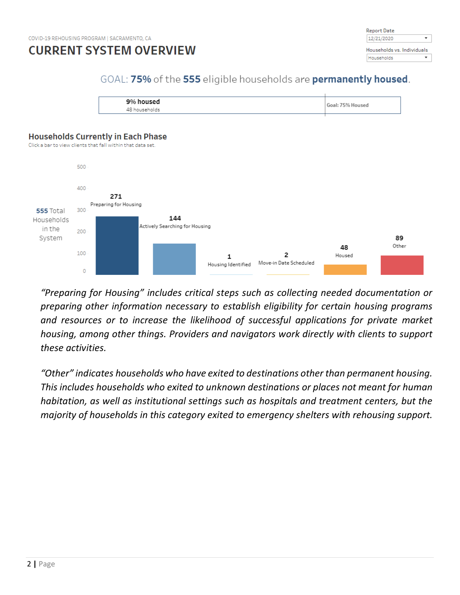



## GOAL: 75% of the 555 eligible households are permanently housed.





*"Preparing for Housing" includes critical steps such as collecting needed documentation or preparing other information necessary to establish eligibility for certain housing programs and resources or to increase the likelihood of successful applications for private market housing, among other things. Providers and navigators work directly with clients to support these activities.*

*"Other" indicates households who have exited to destinations other than permanent housing. This includes households who exited to unknown destinations or places not meant for human habitation, as well as institutional settings such as hospitals and treatment centers, but the majority of households in this category exited to emergency shelters with rehousing support.*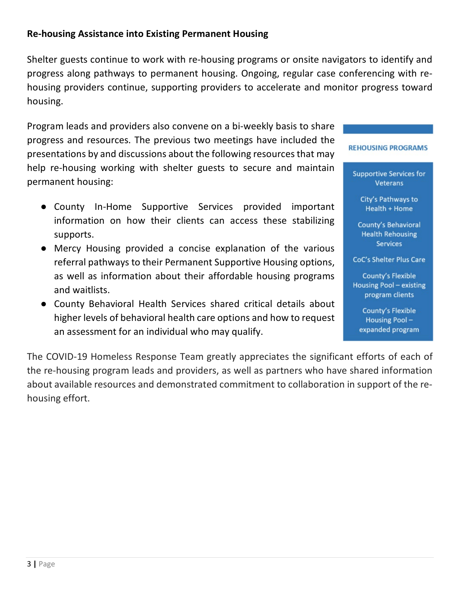#### **Re-housing Assistance into Existing Permanent Housing**

Shelter guests continue to work with re-housing programs or onsite navigators to identify and progress along pathways to permanent housing. Ongoing, regular case conferencing with rehousing providers continue, supporting providers to accelerate and monitor progress toward housing.

Program leads and providers also convene on a bi-weekly basis to share progress and resources. The previous two meetings have included the presentations by and discussions about the following resources that may help re-housing working with shelter guests to secure and maintain permanent housing:

- County In-Home Supportive Services provided important information on how their clients can access these stabilizing supports.
- Mercy Housing provided a concise explanation of the various referral pathways to their Permanent Supportive Housing options, as well as information about their affordable housing programs and waitlists.
- County Behavioral Health Services shared critical details about higher levels of behavioral health care options and how to request an assessment for an individual who may qualify.

The COVID-19 Homeless Response Team greatly appreciates the significant efforts of each of the re-housing program leads and providers, as well as partners who have shared information about available resources and demonstrated commitment to collaboration in support of the rehousing effort.

#### **REHOUSING PROGRAMS**

**Supportive Services for** Veterans

City's Pathways to Health + Home

**County's Behavioral Health Rehousing Services** 

**CoC's Shelter Plus Care** 

**County's Flexible** Housing Pool - existing program clients

**County's Flexible** Housing Poolexpanded program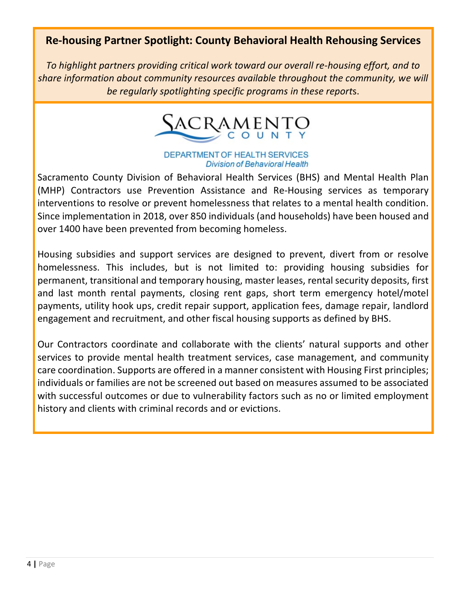## **Re-housing Partner Spotlight: County Behavioral Health Rehousing Services**

*To highlight partners providing critical work toward our overall re-housing effort, and to share information about community resources available throughout the community, we will be regularly spotlighting specific programs in these report*s.



#### **DEPARTMENT OF HEALTH SERVICES Division of Behavioral Health**

Sacramento County Division of Behavioral Health Services (BHS) and Mental Health Plan (MHP) Contractors use Prevention Assistance and Re-Housing services as temporary interventions to resolve or prevent homelessness that relates to a mental health condition. Since implementation in 2018, over 850 individuals (and households) have been housed and over 1400 have been prevented from becoming homeless.

Housing subsidies and support services are designed to prevent, divert from or resolve homelessness. This includes, but is not limited to: providing housing subsidies for permanent, transitional and temporary housing, master leases, rental security deposits, first and last month rental payments, closing rent gaps, short term emergency hotel/motel payments, utility hook ups, credit repair support, application fees, damage repair, landlord engagement and recruitment, and other fiscal housing supports as defined by BHS.

Our Contractors coordinate and collaborate with the clients' natural supports and other services to provide mental health treatment services, case management, and community care coordination. Supports are offered in a manner consistent with Housing First principles; individuals or families are not be screened out based on measures assumed to be associated with successful outcomes or due to vulnerability factors such as no or limited employment history and clients with criminal records and or evictions.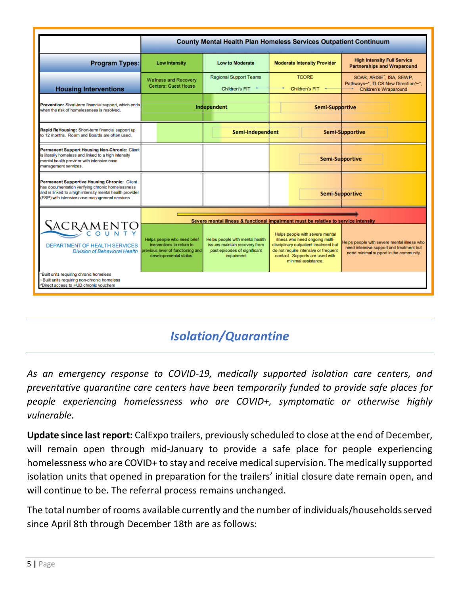|                                                                                                                                                                                                                       | <b>County Mental Health Plan Homeless Services Outpatient Continuum</b>                                                 |                                                                                                                       |                                                                                                                                                                                                               |                                                                                                                                  |  |  |  |
|-----------------------------------------------------------------------------------------------------------------------------------------------------------------------------------------------------------------------|-------------------------------------------------------------------------------------------------------------------------|-----------------------------------------------------------------------------------------------------------------------|---------------------------------------------------------------------------------------------------------------------------------------------------------------------------------------------------------------|----------------------------------------------------------------------------------------------------------------------------------|--|--|--|
| <b>Program Types:</b>                                                                                                                                                                                                 | <b>Low Intensity</b>                                                                                                    | <b>Low to Moderate</b>                                                                                                | <b>Moderate Intensity Provider</b>                                                                                                                                                                            | <b>High Intensity Full Service</b><br><b>Partnerships and Wraparound</b>                                                         |  |  |  |
| <b>Housing Interventions</b>                                                                                                                                                                                          | <b>Wellness and Recovery</b><br><b>Centers: Guest House</b>                                                             | <b>Regional Support Teams</b><br><b>Children's FIT</b>                                                                | <b>TCORE</b><br><b>Children's FIT</b>                                                                                                                                                                         | SOAR, ARISE", ISA, SEWP.<br>Pathways~*, TLCS New Direction^~*,<br><b>Children's Wraparound</b>                                   |  |  |  |
| Prevention: Short-term financial support, which ends<br>when the risk of homelessness is resolved.                                                                                                                    |                                                                                                                         | Independent                                                                                                           | Semi-Supportive                                                                                                                                                                                               |                                                                                                                                  |  |  |  |
| Rapid ReHousing: Short-term financial support up<br>to 12 months. Room and Boards are often used.                                                                                                                     |                                                                                                                         | Semi-Independent                                                                                                      |                                                                                                                                                                                                               | Semi-Supportive                                                                                                                  |  |  |  |
| <b>Permanent Support Housing Non-Chronic: Client</b><br>is literally homeless and linked to a high intensity<br>mental health provider with intensive case<br>management services.                                    |                                                                                                                         |                                                                                                                       | Semi-Supportive                                                                                                                                                                                               |                                                                                                                                  |  |  |  |
| <b>Permanent Supportive Housing Chronic: Client</b><br>has documentation verifying chronic homelessness<br>and is linked to a high intensity mental health provider<br>(FSP) with intensive case management services. |                                                                                                                         |                                                                                                                       |                                                                                                                                                                                                               | Semi-Supportive                                                                                                                  |  |  |  |
|                                                                                                                                                                                                                       | Severe mental illness & functional impairment must be relative to service intensity                                     |                                                                                                                       |                                                                                                                                                                                                               |                                                                                                                                  |  |  |  |
| <b>SACRAMENTO</b><br><b>DEPARTMENT OF HEALTH SERVICES</b><br><b>Division of Behavioral Health</b>                                                                                                                     | Helps people who need brief<br>inerventions to return to<br>previous level of functioning and<br>developnmental status. | Helps people with mental health<br>issues maintain recovery from<br>past episodes of significant<br><i>impairment</i> | Helps people with severe mental<br>illness who need ongoing multi-<br>disciplinary outpatient treatment but<br>do not require intensive or frequent<br>contact. Supports are used with<br>minimal assistance. | Helps people with severe mental illness who<br>need intensive support and treatment but<br>need minimal support in the community |  |  |  |
| Built units requiring chronic homeless<br>-Built units requiring non-chronic homeless<br>*Direct access to HUD chronic vouchers                                                                                       |                                                                                                                         |                                                                                                                       |                                                                                                                                                                                                               |                                                                                                                                  |  |  |  |

# *Isolation/Quarantine*

*As an emergency response to COVID-19, medically supported isolation care centers, and preventative quarantine care centers have been temporarily funded to provide safe places for people experiencing homelessness who are COVID+, symptomatic or otherwise highly vulnerable.*

**Update since last report:** CalExpo trailers, previously scheduled to close at the end of December, will remain open through mid-January to provide a safe place for people experiencing homelessness who are COVID+ to stay and receive medical supervision. The medically supported isolation units that opened in preparation for the trailers' initial closure date remain open, and will continue to be. The referral process remains unchanged.

The total number of rooms available currently and the number of individuals/households served since April 8th through December 18th are as follows: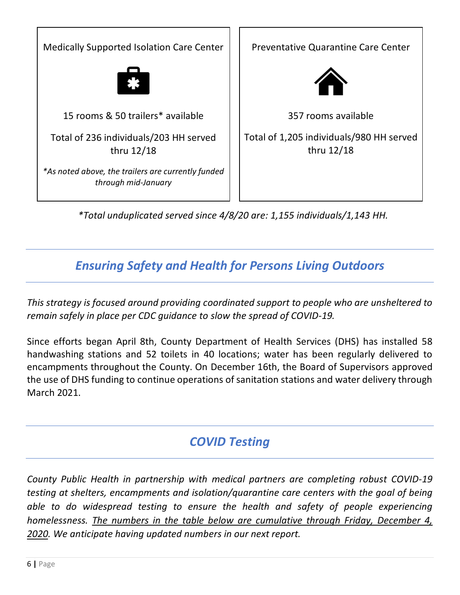Medically Supported Isolation Care Center 15 rooms & 50 trailers\* available Total of 236 individuals/203 HH served thru 12/18 *\*As noted above, the trailers are currently funded through mid-January*



*\*Total unduplicated served since 4/8/20 are: 1,155 individuals/1,143 HH.* 

## *Ensuring Safety and Health for Persons Living Outdoors*

*This strategy is focused around providing coordinated support to people who are unsheltered to remain safely in place per CDC guidance to slow the spread of COVID-19.*

Since efforts began April 8th, County Department of Health Services (DHS) has installed 58 handwashing stations and 52 toilets in 40 locations; water has been regularly delivered to encampments throughout the County. On December 16th, the Board of Supervisors approved the use of DHS funding to continue operations of sanitation stations and water delivery through March 2021.

# *COVID Testing*

*County Public Health in partnership with medical partners are completing robust COVID-19 testing at shelters, encampments and isolation/quarantine care centers with the goal of being able to do widespread testing to ensure the health and safety of people experiencing homelessness. The numbers in the table below are cumulative through Friday, December 4, 2020. We anticipate having updated numbers in our next report.*